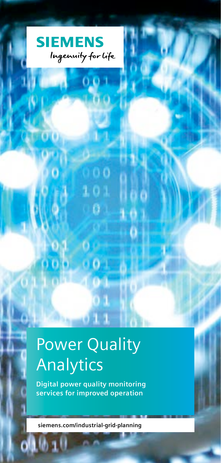

# Power Quality Analytics

**Digital power quality monitoring services for improved operation**

**siemens.com/industrial-grid-planning**

an III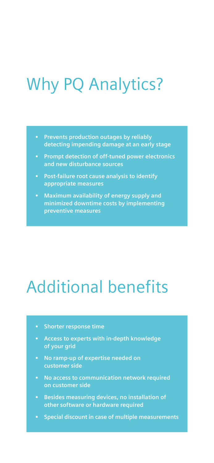### Why PQ Analytics?

- **• Prevents production outages by reliably detecting impending damage at an early stage**
- **• Prompt detection of off-tuned power electronics**
- **• Post-failure root cause analysis to identify appropriate measures**
- **• Maximum availability of energy supply and minimized downtime costs by implementing preventive measures**

### Additional benefits

- **• Shorter response time**
- **• Access to experts with in-depth knowledge of your grid**
- **• No ramp-up of expertise needed on customer side**
- **• No access to communication network required on customer side**
- **• Besides measuring devices, no installation of other software or hardware required**
- **• Special discount in case of multiple measurements**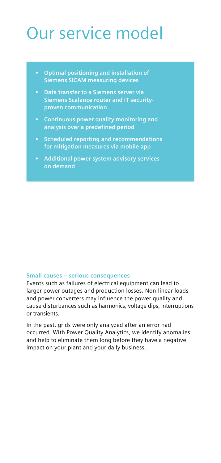## Our service model

- **Optimal positioning and installation of Siemens SICAM measuring devices**
- **Siemens Scalance router and IT securityproven communication**
- **Continuous power quality monitoring and analysis over a predefined period**
- **Scheduled reporting and recommendations for mitigation measures via mobile app**
- **Additional power system advisory services on demand**

#### **Small causes – serious consequences**

Events such as failures of electrical equipment can lead to larger power outages and production losses. Non-linear loads and power converters may influence the power quality and cause disturbances such as harmonics, voltage dips, interruptions or transients.

In the past, grids were only analyzed after an error had occurred. With Power Quality Analytics, we identify anomalies and help to eliminate them long before they have a negative impact on your plant and your daily business.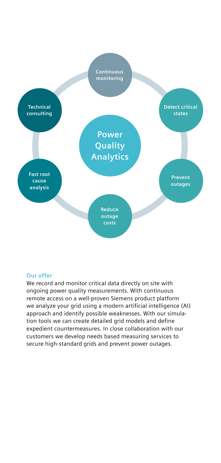

#### **Our offer**

We record and monitor critical data directly on site with ongoing power quality measurements. With continuous remote access on a well-proven Siemens product platform we analyze your grid using a modern artificial intelligence (AI) approach and identify possible weaknesses. With our simulation tools we can create detailed grid models and define expedient countermeasures. In close collaboration with our customers we develop needs based measuring services to secure high-standard grids and prevent power outages.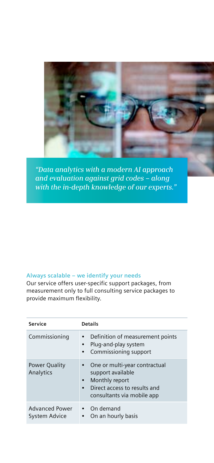

*"Data analytics with a modern AI approach and evaluation against grid codes – along with the in-depth knowledge of our experts."*

### **Always scalable – we identify your needs**

Our service offers user-specific support packages, from measurement only to full consulting service packages to provide maximum flexibility.

| Service                                | <b>Details</b>                                                                                                                                               |
|----------------------------------------|--------------------------------------------------------------------------------------------------------------------------------------------------------------|
| Commissioning                          | • Definition of measurement points<br>Plug-and-play system<br>Commissioning support                                                                          |
| <b>Power Quality</b><br>Analytics      | One or multi-year contractual<br>support available<br>Monthly report<br>$\bullet$<br>Direct access to results and<br>$\bullet$<br>consultants via mobile app |
| <b>Advanced Power</b><br>System Advice | • On demand<br>On an hourly basis                                                                                                                            |